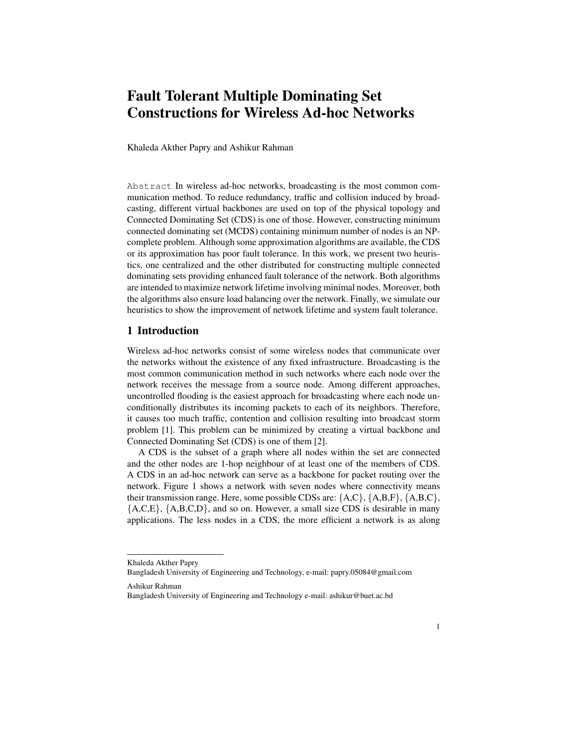# Fault Tolerant Multiple Dominating Set Constructions for Wireless Ad-hoc Networks

Khaleda Akther Papry and Ashikur Rahman

Abstract In wireless ad-hoc networks, broadcasting is the most common communication method. To reduce redundancy, traffic and collision induced by broadcasting, different virtual backbones are used on top of the physical topology and Connected Dominating Set (CDS) is one of those. However, constructing minimum connected dominating set (MCDS) containing minimum number of nodes is an NPcomplete problem. Although some approximation algorithms are available, the CDS or its approximation has poor fault tolerance. In this work, we present two heuristics, one centralized and the other distributed for constructing multiple connected dominating sets providing enhanced fault tolerance of the network. Both algorithms are intended to maximize network lifetime involving minimal nodes. Moreover, both the algorithms also ensure load balancing over the network. Finally, we simulate our heuristics to show the improvement of network lifetime and system fault tolerance.

## 1 Introduction

Wireless ad-hoc networks consist of some wireless nodes that communicate over the networks without the existence of any fixed infrastructure. Broadcasting is the most common communication method in such networks where each node over the network receives the message from a source node. Among different approaches, uncontrolled flooding is the easiest approach for broadcasting where each node unconditionally distributes its incoming packets to each of its neighbors. Therefore, it causes too much traffic, contention and collision resulting into broadcast storm problem [1]. This problem can be minimized by creating a virtual backbone and Connected Dominating Set (CDS) is one of them [2].

A CDS is the subset of a graph where all nodes within the set are connected and the other nodes are 1-hop neighbour of at least one of the members of CDS. A CDS in an ad-hoc network can serve as a backbone for packet routing over the network. Figure 1 shows a network with seven nodes where connectivity means their transmission range. Here, some possible CDSs are:  ${A, C}$ ,  ${A, B, F}$ ,  ${A, B, C}$ ,  ${A, C, E}$ ,  ${A, B, C, D}$ , and so on. However, a small size CDS is desirable in many applications. The less nodes in a CDS, the more efficient a network is as along

Ashikur Rahman

Khaleda Akther Papry

Bangladesh University of Engineering and Technology, e-mail: papry.05084@gmail.com

Bangladesh University of Engineering and Technology e-mail: ashikur@buet.ac.bd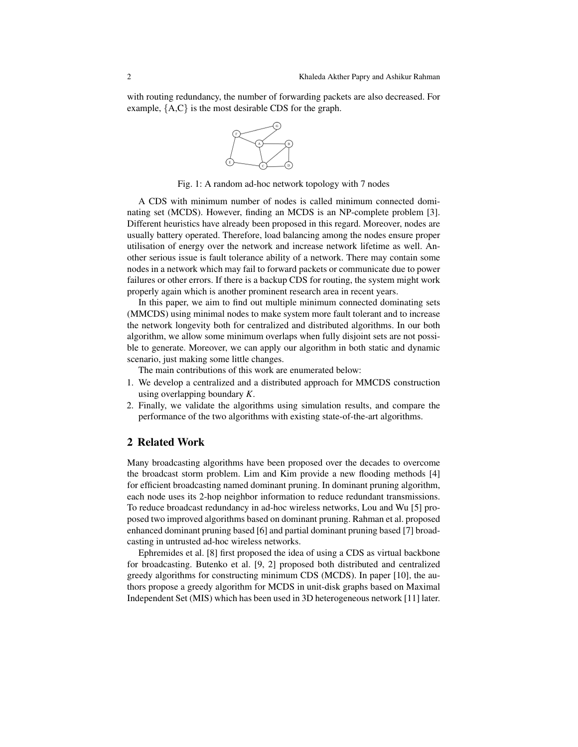with routing redundancy, the number of forwarding packets are also decreased. For example, {A,C} is the most desirable CDS for the graph.



Fig. 1: A random ad-hoc network topology with 7 nodes

A CDS with minimum number of nodes is called minimum connected dominating set (MCDS). However, finding an MCDS is an NP-complete problem [3]. Different heuristics have already been proposed in this regard. Moreover, nodes are usually battery operated. Therefore, load balancing among the nodes ensure proper utilisation of energy over the network and increase network lifetime as well. Another serious issue is fault tolerance ability of a network. There may contain some nodes in a network which may fail to forward packets or communicate due to power failures or other errors. If there is a backup CDS for routing, the system might work properly again which is another prominent research area in recent years.

In this paper, we aim to find out multiple minimum connected dominating sets (MMCDS) using minimal nodes to make system more fault tolerant and to increase the network longevity both for centralized and distributed algorithms. In our both algorithm, we allow some minimum overlaps when fully disjoint sets are not possible to generate. Moreover, we can apply our algorithm in both static and dynamic scenario, just making some little changes.

The main contributions of this work are enumerated below:

- 1. We develop a centralized and a distributed approach for MMCDS construction using overlapping boundary *K*.
- 2. Finally, we validate the algorithms using simulation results, and compare the performance of the two algorithms with existing state-of-the-art algorithms.

## 2 Related Work

Many broadcasting algorithms have been proposed over the decades to overcome the broadcast storm problem. Lim and Kim provide a new flooding methods [4] for efficient broadcasting named dominant pruning. In dominant pruning algorithm, each node uses its 2-hop neighbor information to reduce redundant transmissions. To reduce broadcast redundancy in ad-hoc wireless networks, Lou and Wu [5] proposed two improved algorithms based on dominant pruning. Rahman et al. proposed enhanced dominant pruning based [6] and partial dominant pruning based [7] broadcasting in untrusted ad-hoc wireless networks.

Ephremides et al. [8] first proposed the idea of using a CDS as virtual backbone for broadcasting. Butenko et al. [9, 2] proposed both distributed and centralized greedy algorithms for constructing minimum CDS (MCDS). In paper [10], the authors propose a greedy algorithm for MCDS in unit-disk graphs based on Maximal Independent Set (MIS) which has been used in 3D heterogeneous network [11] later.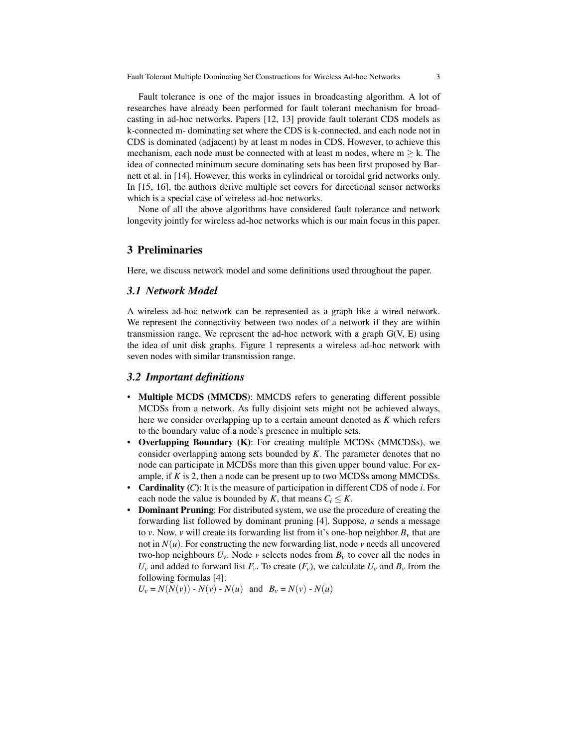Fault tolerance is one of the major issues in broadcasting algorithm. A lot of researches have already been performed for fault tolerant mechanism for broadcasting in ad-hoc networks. Papers [12, 13] provide fault tolerant CDS models as k-connected m- dominating set where the CDS is k-connected, and each node not in CDS is dominated (adjacent) by at least m nodes in CDS. However, to achieve this mechanism, each node must be connected with at least m nodes, where  $m > k$ . The idea of connected minimum secure dominating sets has been first proposed by Barnett et al. in [14]. However, this works in cylindrical or toroidal grid networks only. In [15, 16], the authors derive multiple set covers for directional sensor networks which is a special case of wireless ad-hoc networks.

None of all the above algorithms have considered fault tolerance and network longevity jointly for wireless ad-hoc networks which is our main focus in this paper.

## 3 Preliminaries

Here, we discuss network model and some definitions used throughout the paper.

## *3.1 Network Model*

A wireless ad-hoc network can be represented as a graph like a wired network. We represent the connectivity between two nodes of a network if they are within transmission range. We represent the ad-hoc network with a graph  $G(V, E)$  using the idea of unit disk graphs. Figure 1 represents a wireless ad-hoc network with seven nodes with similar transmission range.

## *3.2 Important definitions*

- Multiple MCDS (MMCDS): MMCDS refers to generating different possible MCDSs from a network. As fully disjoint sets might not be achieved always, here we consider overlapping up to a certain amount denoted as *K* which refers to the boundary value of a node's presence in multiple sets.
- Overlapping Boundary (K): For creating multiple MCDSs (MMCDSs), we consider overlapping among sets bounded by *K*. The parameter denotes that no node can participate in MCDSs more than this given upper bound value. For example, if *K* is 2, then a node can be present up to two MCDSs among MMCDSs.
- Cardinality (*C*): It is the measure of participation in different CDS of node *i*. For each node the value is bounded by *K*, that means  $C_i \leq K$ .
- Dominant Pruning: For distributed system, we use the procedure of creating the forwarding list followed by dominant pruning [4]. Suppose, *u* sends a message to *v*. Now, *v* will create its forwarding list from it's one-hop neighbor  $B<sub>v</sub>$  that are not in  $N(u)$ . For constructing the new forwarding list, node  $v$  needs all uncovered two-hop neighbours  $U_v$ . Node *v* selects nodes from  $B_v$  to cover all the nodes in  $U_v$  and added to forward list  $F_v$ . To create  $(F_v)$ , we calculate  $U_v$  and  $B_v$  from the following formulas [4]:

 $U_v = N(N(v)) - N(v) - N(u)$  and  $B_v = N(v) - N(u)$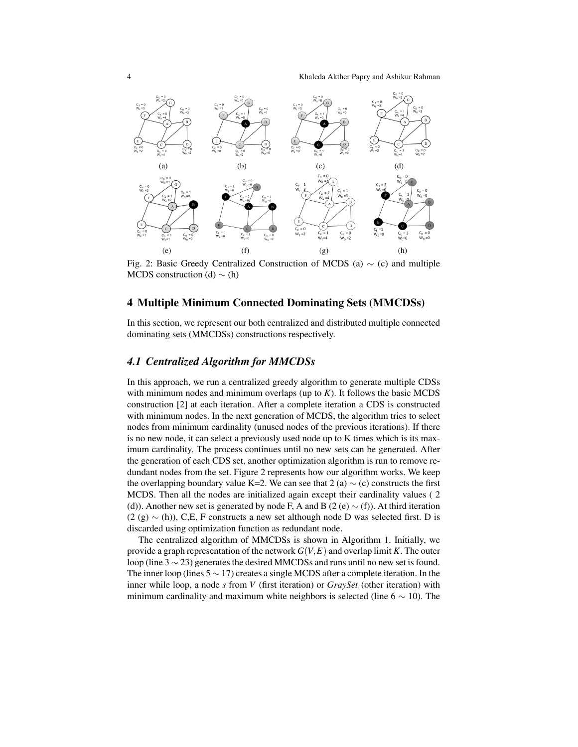4 Khaleda Akther Papry and Ashikur Rahman



Fig. 2: Basic Greedy Centralized Construction of MCDS (a) ∼ (c) and multiple MCDS construction (d)  $\sim$  (h)

## 4 Multiple Minimum Connected Dominating Sets (MMCDSs)

In this section, we represent our both centralized and distributed multiple connected dominating sets (MMCDSs) constructions respectively.

## *4.1 Centralized Algorithm for MMCDSs*

In this approach, we run a centralized greedy algorithm to generate multiple CDSs with minimum nodes and minimum overlaps (up to  $K$ ). It follows the basic MCDS construction [2] at each iteration. After a complete iteration a CDS is constructed with minimum nodes. In the next generation of MCDS, the algorithm tries to select nodes from minimum cardinality (unused nodes of the previous iterations). If there is no new node, it can select a previously used node up to K times which is its maximum cardinality. The process continues until no new sets can be generated. After the generation of each CDS set, another optimization algorithm is run to remove redundant nodes from the set. Figure 2 represents how our algorithm works. We keep the overlapping boundary value K=2. We can see that 2 (a)  $\sim$  (c) constructs the first MCDS. Then all the nodes are initialized again except their cardinality values ( 2 (d)). Another new set is generated by node F, A and B (2 (e)  $\sim$  (f)). At third iteration  $(2 (g) \sim (h))$ , C,E, F constructs a new set although node D was selected first. D is discarded using optimization function as redundant node.

The centralized algorithm of MMCDSs is shown in Algorithm 1. Initially, we provide a graph representation of the network *G*(*V*,*E*) and overlap limit *K*. The outer loop (line 3 ∼ 23) generates the desired MMCDSs and runs until no new set is found. The inner loop (lines  $5 \sim 17$ ) creates a single MCDS after a complete iteration. In the inner while loop, a node *s* from *V* (first iteration) or *GraySet* (other iteration) with minimum cardinality and maximum white neighbors is selected (line  $6 \sim 10$ ). The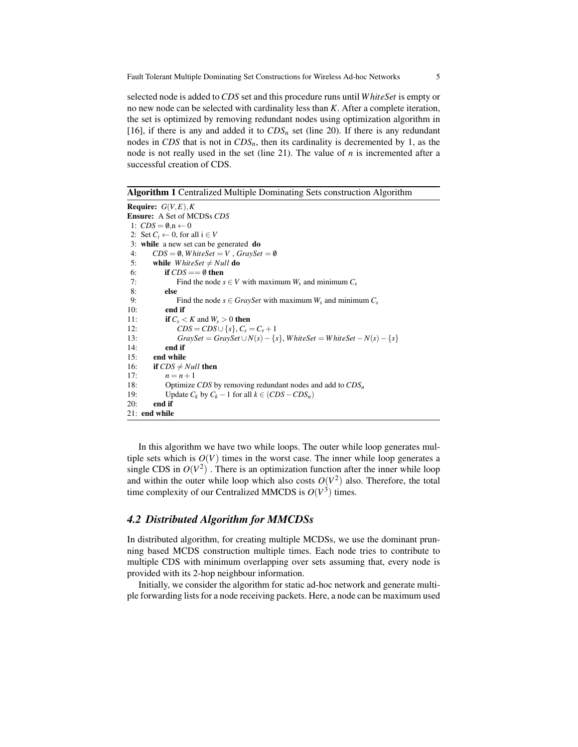selected node is added to*CDS* set and this procedure runs until *W hiteSet* is empty or no new node can be selected with cardinality less than *K*. After a complete iteration, the set is optimized by removing redundant nodes using optimization algorithm in [16], if there is any and added it to  $CDS_n$  set (line 20). If there is any redundant nodes in *CDS* that is not in *CDSn*, then its cardinality is decremented by 1, as the node is not really used in the set (line 21). The value of *n* is incremented after a successful creation of CDS.

Algorithm 1 Centralized Multiple Dominating Sets construction Algorithm

```
Require: G(V, E), KEnsure: A Set of MCDSs CDS
1: CDS = \emptyset \dots \leftarrow 02: Set C_i \leftarrow 0, for all i \in V3: while a new set can be generated do
 4: CDS = \emptyset, WhiteSet = V, GraySet = \emptyset5: while WhiteSet \neq Null do
6: if CDS == \emptyset then
7: Find the node s \in V with maximum W_s and minimum C_s8: else
9: Find the node s \in GraySet with maximum W_s and minimum C_s<br>10: end if
           end if
11: if C_s < K and W_s > 0 then
12: CDS = CDS \cup \{s\}, C_s = C_s + 1<br>13: GraySet = GraySet \cup N(s) - \{s\}GraySet = GraySet \cup N(s) - \{s\}, WhiteSet = WhiteSet - N(s) - \{s\}14: end if
15: end while
16: if CDS \neq Null then
17: n = n + 118: Optimize CDS by removing redundant nodes and add to CDSn
19: Update C_k by C_k - 1 for all k \in (CDS - CDS_n)<br>20: end if
        end if
21: end while
```
In this algorithm we have two while loops. The outer while loop generates multiple sets which is  $O(V)$  times in the worst case. The inner while loop generates a single CDS in  $O(V^2)$ . There is an optimization function after the inner while loop and within the outer while loop which also costs  $O(V^2)$  also. Therefore, the total time complexity of our Centralized MMCDS is  $O(V^3)$  times.

## *4.2 Distributed Algorithm for MMCDSs*

In distributed algorithm, for creating multiple MCDSs, we use the dominant prunning based MCDS construction multiple times. Each node tries to contribute to multiple CDS with minimum overlapping over sets assuming that, every node is provided with its 2-hop neighbour information.

Initially, we consider the algorithm for static ad-hoc network and generate multiple forwarding lists for a node receiving packets. Here, a node can be maximum used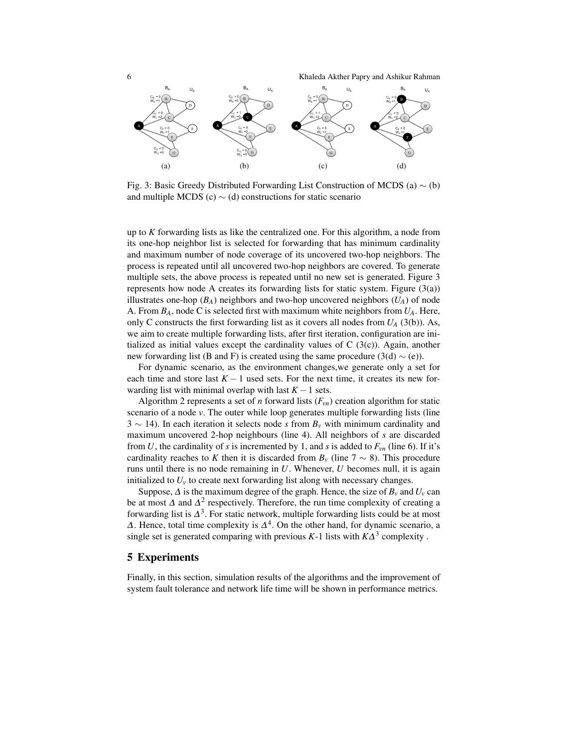6 Khaleda Akther Papry and Ashikur Rahman



Fig. 3: Basic Greedy Distributed Forwarding List Construction of MCDS (a)  $\sim$  (b) and multiple MCDS (c)  $\sim$  (d) constructions for static scenario

up to *K* forwarding lists as like the centralized one. For this algorithm, a node from its one-hop neighbor list is selected for forwarding that has minimum cardinality and maximum number of node coverage of its uncovered two-hop neighbors. The process is repeated until all uncovered two-hop neighbors are covered. To generate multiple sets, the above process is repeated until no new set is generated. Figure 3 represents how node A creates its forwarding lists for static system. Figure  $(3(a))$ illustrates one-hop  $(B_A)$  neighbors and two-hop uncovered neighbors  $(U_A)$  of node A. From *BA*, node C is selected first with maximum white neighbors from *UA*. Here, only C constructs the first forwarding list as it covers all nodes from  $U_A$  (3(b)). As, we aim to create multiple forwarding lists, after first iteration, configuration are initialized as initial values except the cardinality values of  $C(3(c))$ . Again, another new forwarding list (B and F) is created using the same procedure (3(d)  $\sim$  (e)).

For dynamic scenario, as the environment changes,we generate only a set for each time and store last  $K - 1$  used sets. For the next time, it creates its new forwarding list with minimal overlap with last  $K - 1$  sets.

Algorithm 2 represents a set of *n* forward lists  $(F_{vn})$  creation algorithm for static scenario of a node *v*. The outer while loop generates multiple forwarding lists (line 3 ∼ 14). In each iteration it selects node *s* from *B<sup>v</sup>* with minimum cardinality and maximum uncovered 2-hop neighbours (line 4). All neighbors of *s* are discarded from *U*, the cardinality of *s* is incremented by 1, and *s* is added to  $F_{vn}$  (line 6). If it's cardinality reaches to K then it is discarded from  $B_v$  (line 7  $\sim$  8). This procedure runs until there is no node remaining in *U*. Whenever, *U* becomes null, it is again initialized to  $U_\nu$  to create next forwarding list along with necessary changes.

Suppose,  $\Delta$  is the maximum degree of the graph. Hence, the size of  $B_v$  and  $U_v$  can be at most  $\Delta$  and  $\Delta^2$  respectively. Therefore, the run time complexity of creating a forwarding list is  $\Delta^3$ . For static network, multiple forwarding lists could be at most  $\Delta$ . Hence, total time complexity is  $\Delta^4$ . On the other hand, for dynamic scenario, a single set is generated comparing with previous  $K-1$  lists with  $K\Delta^3$  complexity.

## 5 Experiments

Finally, in this section, simulation results of the algorithms and the improvement of system fault tolerance and network life time will be shown in performance metrics.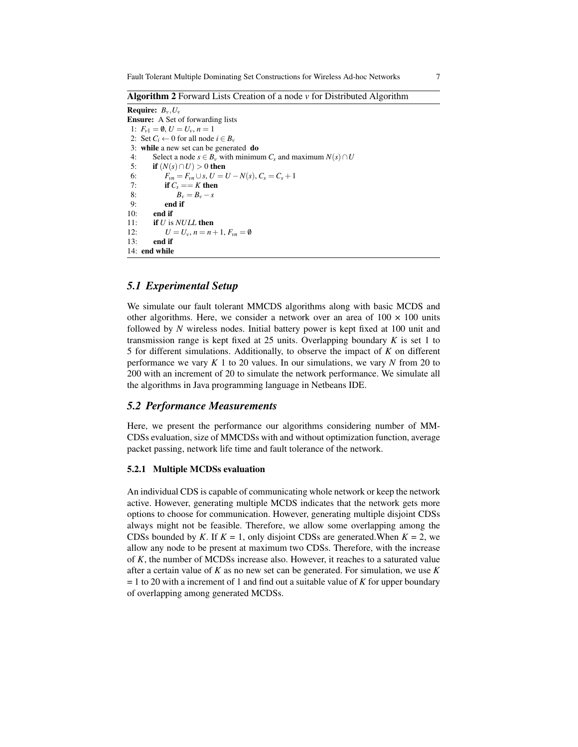Algorithm 2 Forward Lists Creation of a node *v* for Distributed Algorithm

Require: *Bv*,*U<sup>v</sup>* Ensure: A Set of forwarding lists 1:  $F_{v1} = \emptyset, U = U_v, n = 1$ 2: Set  $C_i \leftarrow 0$  for all node  $i \in B_\nu$ 3: while a new set can be generated do 4: Select a node  $s \in B_v$  with minimum *C<sub>s</sub>* and maximum  $N(s) \cap U$ <br>5: **if**  $(N(s) \cap U) > 0$  then if  $(N(s) \cap U) > 0$  then 6:  $F_{vn} = F_{vn} \cup s, U = U - N(s), C_s = C_s + 1$ <br>7: **if**  $C_s = K$  then 7: **if**  $C_s = K$  then<br>8:  $B_v = B_v - s$ 8:  $B_v = B_v - s$ <br>9: **end if** end if 10: end if 11: if *U* is *NULL* then 12:  $U = U_v, n = n + 1, F_{vn} = \emptyset$  $13$  end if 14: end while

# *5.1 Experimental Setup*

We simulate our fault tolerant MMCDS algorithms along with basic MCDS and other algorithms. Here, we consider a network over an area of  $100 \times 100$  units followed by *N* wireless nodes. Initial battery power is kept fixed at 100 unit and transmission range is kept fixed at  $25$  units. Overlapping boundary  $K$  is set 1 to 5 for different simulations. Additionally, to observe the impact of *K* on different performance we vary *K* 1 to 20 values. In our simulations, we vary *N* from 20 to 200 with an increment of 20 to simulate the network performance. We simulate all the algorithms in Java programming language in Netbeans IDE.

## *5.2 Performance Measurements*

Here, we present the performance our algorithms considering number of MM-CDSs evaluation, size of MMCDSs with and without optimization function, average packet passing, network life time and fault tolerance of the network.

### 5.2.1 Multiple MCDSs evaluation

An individual CDS is capable of communicating whole network or keep the network active. However, generating multiple MCDS indicates that the network gets more options to choose for communication. However, generating multiple disjoint CDSs always might not be feasible. Therefore, we allow some overlapping among the CDSs bounded by *K*. If  $K = 1$ , only disjoint CDSs are generated. When  $K = 2$ , we allow any node to be present at maximum two CDSs. Therefore, with the increase of *K*, the number of MCDSs increase also. However, it reaches to a saturated value after a certain value of *K* as no new set can be generated. For simulation, we use *K* = 1 to 20 with a increment of 1 and find out a suitable value of *K* for upper boundary of overlapping among generated MCDSs.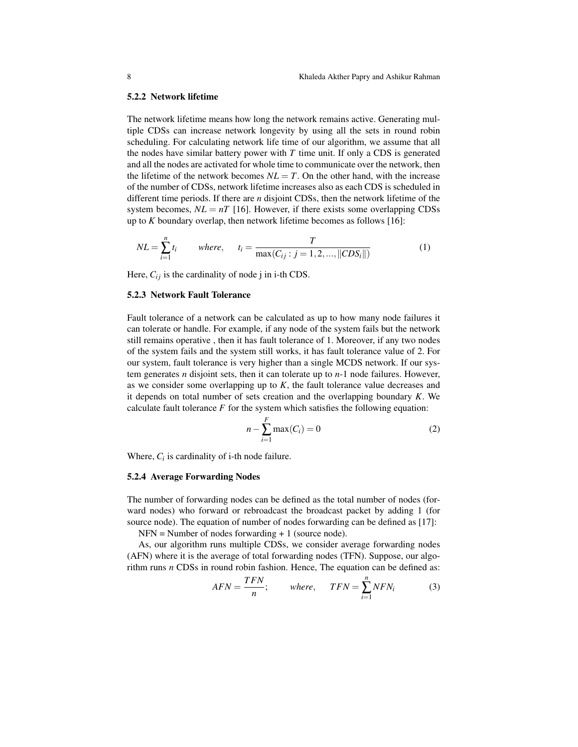#### 5.2.2 Network lifetime

The network lifetime means how long the network remains active. Generating multiple CDSs can increase network longevity by using all the sets in round robin scheduling. For calculating network life time of our algorithm, we assume that all the nodes have similar battery power with *T* time unit. If only a CDS is generated and all the nodes are activated for whole time to communicate over the network, then the lifetime of the network becomes  $NL = T$ . On the other hand, with the increase of the number of CDSs, network lifetime increases also as each CDS is scheduled in different time periods. If there are *n* disjoint CDSs, then the network lifetime of the system becomes,  $NL = nT$  [16]. However, if there exists some overlapping CDSs up to *K* boundary overlap, then network lifetime becomes as follows [16]:

$$
NL = \sum_{i=1}^{n} t_i \qquad \text{where}, \qquad t_i = \frac{T}{\max(C_{ij} : j = 1, 2, ..., ||CDS_i||)} \tag{1}
$$

Here,  $C_{ij}$  is the cardinality of node j in i-th CDS.

#### 5.2.3 Network Fault Tolerance

Fault tolerance of a network can be calculated as up to how many node failures it can tolerate or handle. For example, if any node of the system fails but the network still remains operative , then it has fault tolerance of 1. Moreover, if any two nodes of the system fails and the system still works, it has fault tolerance value of 2. For our system, fault tolerance is very higher than a single MCDS network. If our system generates *n* disjoint sets, then it can tolerate up to *n*-1 node failures. However, as we consider some overlapping up to  $K$ , the fault tolerance value decreases and it depends on total number of sets creation and the overlapping boundary *K*. We calculate fault tolerance  $F$  for the system which satisfies the following equation:

$$
n - \sum_{i=1}^{F} \max(C_i) = 0 \tag{2}
$$

Where,  $C_i$  is cardinality of i-th node failure.

#### 5.2.4 Average Forwarding Nodes

The number of forwarding nodes can be defined as the total number of nodes (forward nodes) who forward or rebroadcast the broadcast packet by adding 1 (for source node). The equation of number of nodes forwarding can be defined as [17]:

 $NFN = Number of nodes forwarding + 1 (source node).$ 

As, our algorithm runs multiple CDSs, we consider average forwarding nodes (AFN) where it is the average of total forwarding nodes (TFN). Suppose, our algorithm runs *n* CDSs in round robin fashion. Hence, The equation can be defined as:

$$
AFN = \frac{TFN}{n}; \qquad \text{where,} \qquad TFN = \sum_{i=1}^{n} NFN_i \tag{3}
$$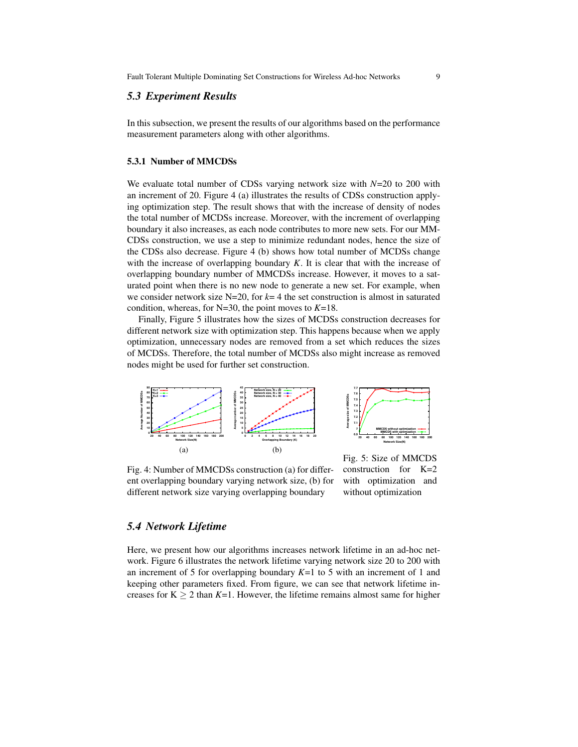## *5.3 Experiment Results*

In this subsection, we present the results of our algorithms based on the performance measurement parameters along with other algorithms.

#### 5.3.1 Number of MMCDSs

We evaluate total number of CDSs varying network size with *N*=20 to 200 with an increment of 20. Figure 4 (a) illustrates the results of CDSs construction applying optimization step. The result shows that with the increase of density of nodes the total number of MCDSs increase. Moreover, with the increment of overlapping boundary it also increases, as each node contributes to more new sets. For our MM-CDSs construction, we use a step to minimize redundant nodes, hence the size of the CDSs also decrease. Figure 4 (b) shows how total number of MCDSs change with the increase of overlapping boundary  $K$ . It is clear that with the increase of overlapping boundary number of MMCDSs increase. However, it moves to a saturated point when there is no new node to generate a new set. For example, when we consider network size  $N=20$ , for  $k=4$  the set construction is almost in saturated condition, whereas, for N=30, the point moves to *K*=18.

Finally, Figure 5 illustrates how the sizes of MCDSs construction decreases for different network size with optimization step. This happens because when we apply optimization, unnecessary nodes are removed from a set which reduces the sizes of MCDSs. Therefore, the total number of MCDSs also might increase as removed nodes might be used for further set construction.



Fig. 4: Number of MMCDSs construction (a) for different overlapping boundary varying network size, (b) for different network size varying overlapping boundary

Fig. 5: Size of MMCDS construction for K=2 with optimization and without optimization

## *5.4 Network Lifetime*

Here, we present how our algorithms increases network lifetime in an ad-hoc network. Figure 6 illustrates the network lifetime varying network size 20 to 200 with an increment of 5 for overlapping boundary *K*=1 to 5 with an increment of 1 and keeping other parameters fixed. From figure, we can see that network lifetime increases for  $K \ge 2$  than  $K=1$ . However, the lifetime remains almost same for higher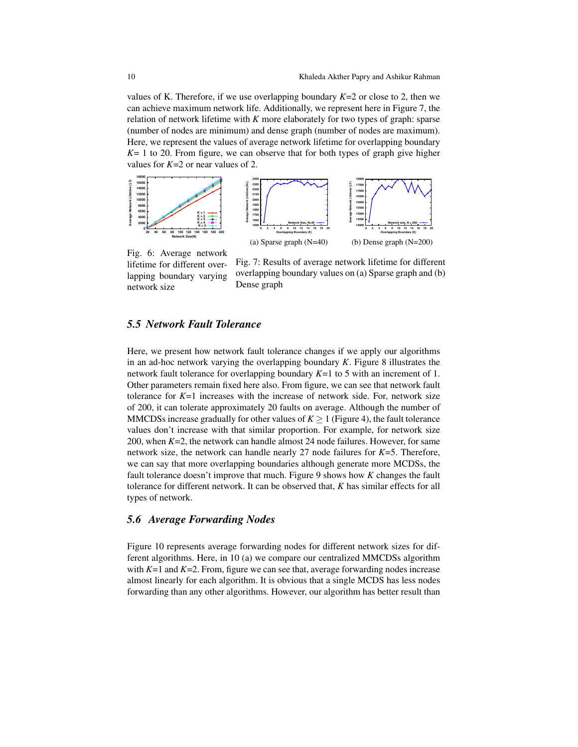values of K. Therefore, if we use overlapping boundary *K*=2 or close to 2, then we can achieve maximum network life. Additionally, we represent here in Figure 7, the relation of network lifetime with *K* more elaborately for two types of graph: sparse (number of nodes are minimum) and dense graph (number of nodes are maximum). Here, we represent the values of average network lifetime for overlapping boundary *K*= 1 to 20. From figure, we can observe that for both types of graph give higher values for *K*=2 or near values of 2.



Fig. 6: Average network lifetime for different overlapping boundary varying network size

Fig. 7: Results of average network lifetime for different overlapping boundary values on (a) Sparse graph and (b) Dense graph

# *5.5 Network Fault Tolerance*

Here, we present how network fault tolerance changes if we apply our algorithms in an ad-hoc network varying the overlapping boundary *K*. Figure 8 illustrates the network fault tolerance for overlapping boundary *K*=1 to 5 with an increment of 1. Other parameters remain fixed here also. From figure, we can see that network fault tolerance for  $K=1$  increases with the increase of network side. For, network size of 200, it can tolerate approximately 20 faults on average. Although the number of MMCDSs increase gradually for other values of  $K \geq 1$  (Figure 4), the fault tolerance values don't increase with that similar proportion. For example, for network size 200, when *K*=2, the network can handle almost 24 node failures. However, for same network size, the network can handle nearly 27 node failures for *K*=5. Therefore, we can say that more overlapping boundaries although generate more MCDSs, the fault tolerance doesn't improve that much. Figure 9 shows how *K* changes the fault tolerance for different network. It can be observed that, *K* has similar effects for all types of network.

## *5.6 Average Forwarding Nodes*

Figure 10 represents average forwarding nodes for different network sizes for different algorithms. Here, in 10 (a) we compare our centralized MMCDSs algorithm with  $K=1$  and  $K=2$ . From, figure we can see that, average forwarding nodes increase almost linearly for each algorithm. It is obvious that a single MCDS has less nodes forwarding than any other algorithms. However, our algorithm has better result than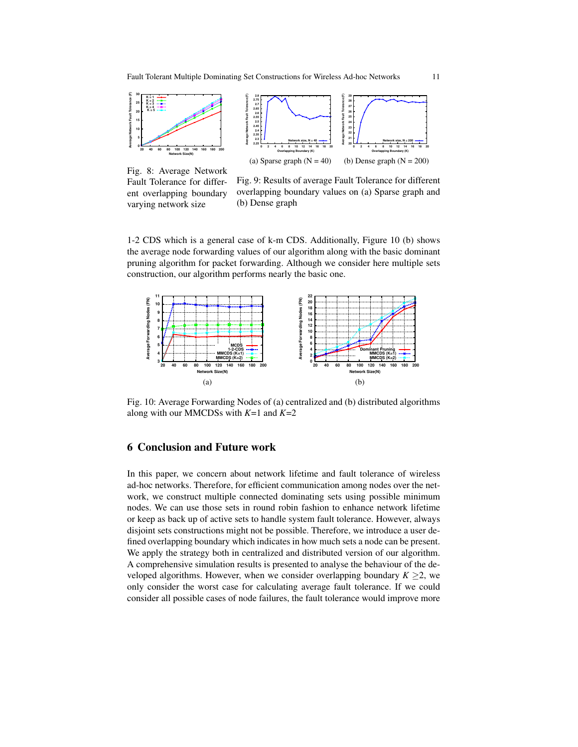

Fig. 8: Average Network Fault Tolerance for different overlapping boundary varying network size

Fig. 9: Results of average Fault Tolerance for different overlapping boundary values on (a) Sparse graph and (b) Dense graph

1-2 CDS which is a general case of k-m CDS. Additionally, Figure 10 (b) shows the average node forwarding values of our algorithm along with the basic dominant pruning algorithm for packet forwarding. Although we consider here multiple sets construction, our algorithm performs nearly the basic one.



Fig. 10: Average Forwarding Nodes of (a) centralized and (b) distributed algorithms along with our MMCDSs with *K*=1 and *K*=2

## 6 Conclusion and Future work

In this paper, we concern about network lifetime and fault tolerance of wireless ad-hoc networks. Therefore, for efficient communication among nodes over the network, we construct multiple connected dominating sets using possible minimum nodes. We can use those sets in round robin fashion to enhance network lifetime or keep as back up of active sets to handle system fault tolerance. However, always disjoint sets constructions might not be possible. Therefore, we introduce a user defined overlapping boundary which indicates in how much sets a node can be present. We apply the strategy both in centralized and distributed version of our algorithm. A comprehensive simulation results is presented to analyse the behaviour of the developed algorithms. However, when we consider overlapping boundary  $K \geq 2$ , we only consider the worst case for calculating average fault tolerance. If we could consider all possible cases of node failures, the fault tolerance would improve more